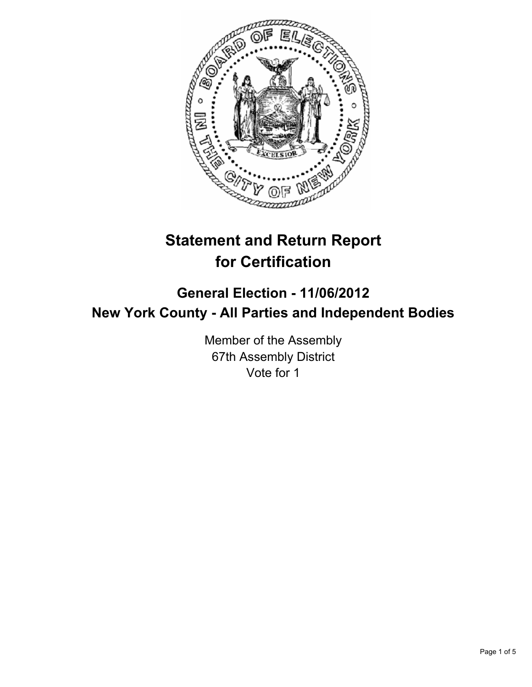

# **Statement and Return Report for Certification**

# **General Election - 11/06/2012 New York County - All Parties and Independent Bodies**

Member of the Assembly 67th Assembly District Vote for 1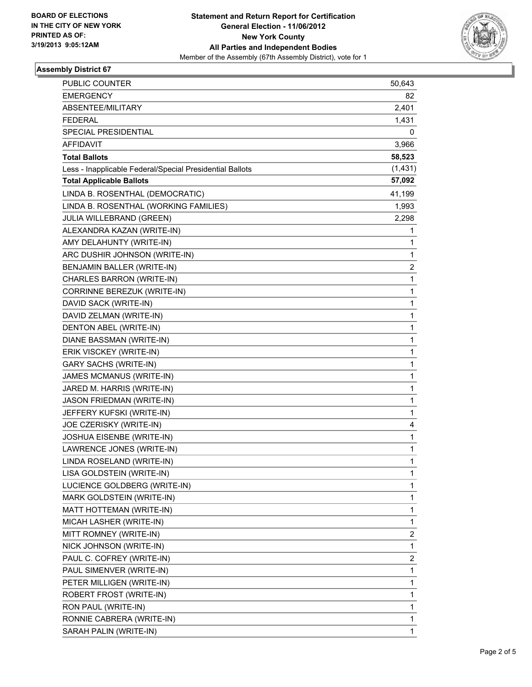

## **Assembly District 67**

| PUBLIC COUNTER                                           | 50,643                  |
|----------------------------------------------------------|-------------------------|
| <b>EMERGENCY</b>                                         | 82                      |
| ABSENTEE/MILITARY                                        | 2,401                   |
| <b>FEDERAL</b>                                           | 1,431                   |
| SPECIAL PRESIDENTIAL                                     | 0                       |
| AFFIDAVIT                                                | 3,966                   |
| <b>Total Ballots</b>                                     | 58,523                  |
| Less - Inapplicable Federal/Special Presidential Ballots | (1, 431)                |
| <b>Total Applicable Ballots</b>                          | 57,092                  |
| LINDA B. ROSENTHAL (DEMOCRATIC)                          | 41,199                  |
| LINDA B. ROSENTHAL (WORKING FAMILIES)                    | 1,993                   |
| JULIA WILLEBRAND (GREEN)                                 | 2,298                   |
| ALEXANDRA KAZAN (WRITE-IN)                               | 1                       |
| AMY DELAHUNTY (WRITE-IN)                                 | 1                       |
| ARC DUSHIR JOHNSON (WRITE-IN)                            | 1                       |
| BENJAMIN BALLER (WRITE-IN)                               | 2                       |
| CHARLES BARRON (WRITE-IN)                                | 1                       |
| CORRINNE BEREZUK (WRITE-IN)                              | 1                       |
| DAVID SACK (WRITE-IN)                                    | 1                       |
| DAVID ZELMAN (WRITE-IN)                                  | 1                       |
| DENTON ABEL (WRITE-IN)                                   | 1                       |
| DIANE BASSMAN (WRITE-IN)                                 | 1                       |
| ERIK VISCKEY (WRITE-IN)                                  | 1                       |
| <b>GARY SACHS (WRITE-IN)</b>                             | 1                       |
| JAMES MCMANUS (WRITE-IN)                                 | 1                       |
| JARED M. HARRIS (WRITE-IN)                               | 1                       |
| JASON FRIEDMAN (WRITE-IN)                                | 1                       |
| JEFFERY KUFSKI (WRITE-IN)                                | 1                       |
| JOE CZERISKY (WRITE-IN)                                  | 4                       |
| JOSHUA EISENBE (WRITE-IN)                                | 1                       |
| LAWRENCE JONES (WRITE-IN)                                | 1                       |
| LINDA ROSELAND (WRITE-IN)                                | 1                       |
| LISA GOLDSTEIN (WRITE-IN)                                | 1                       |
| LUCIENCE GOLDBERG (WRITE-IN)                             | 1                       |
| MARK GOLDSTEIN (WRITE-IN)                                | 1                       |
| MATT HOTTEMAN (WRITE-IN)                                 | 1                       |
| MICAH LASHER (WRITE-IN)                                  | 1                       |
| MITT ROMNEY (WRITE-IN)                                   | 2                       |
| NICK JOHNSON (WRITE-IN)                                  | 1                       |
| PAUL C. COFREY (WRITE-IN)                                | $\overline{\mathbf{c}}$ |
| PAUL SIMENVER (WRITE-IN)                                 | 1                       |
| PETER MILLIGEN (WRITE-IN)                                | 1                       |
| ROBERT FROST (WRITE-IN)                                  | 1                       |
| RON PAUL (WRITE-IN)                                      | 1                       |
| RONNIE CABRERA (WRITE-IN)                                | 1                       |
| SARAH PALIN (WRITE-IN)                                   | 1                       |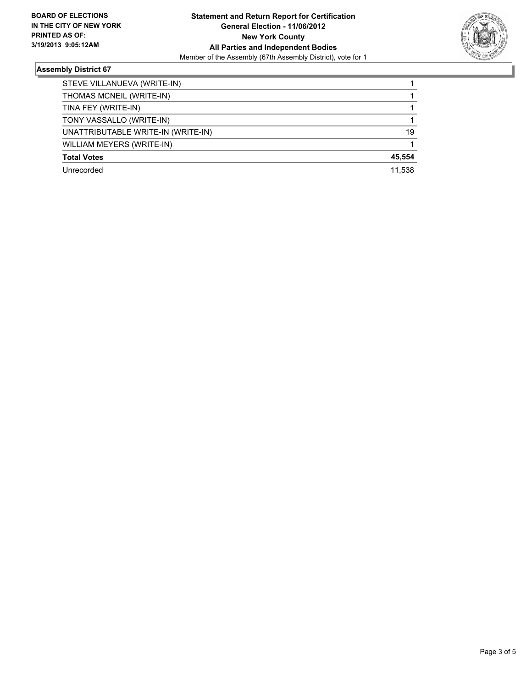

# **Assembly District 67**

| STEVE VILLANUEVA (WRITE-IN)        |        |
|------------------------------------|--------|
| THOMAS MCNEIL (WRITE-IN)           |        |
| TINA FEY (WRITE-IN)                |        |
| TONY VASSALLO (WRITE-IN)           |        |
| UNATTRIBUTABLE WRITE-IN (WRITE-IN) | 19     |
| WILLIAM MEYERS (WRITE-IN)          |        |
| <b>Total Votes</b>                 | 45,554 |
| Unrecorded                         | 11.538 |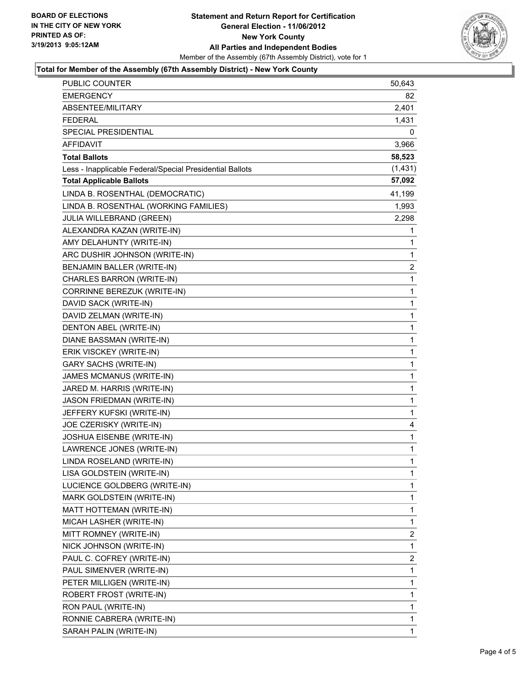#### **Statement and Return Report for Certification General Election - 11/06/2012 New York County All Parties and Independent Bodies** Member of the Assembly (67th Assembly District), vote for 1



#### **Total for Member of the Assembly (67th Assembly District) - New York County**

| PUBLIC COUNTER                                           | 50,643       |
|----------------------------------------------------------|--------------|
| <b>EMERGENCY</b>                                         | 82           |
| ABSENTEE/MILITARY                                        | 2,401        |
| <b>FEDERAL</b>                                           | 1,431        |
| SPECIAL PRESIDENTIAL                                     | 0            |
| AFFIDAVIT                                                | 3,966        |
| <b>Total Ballots</b>                                     | 58,523       |
| Less - Inapplicable Federal/Special Presidential Ballots | (1, 431)     |
| <b>Total Applicable Ballots</b>                          | 57,092       |
| LINDA B. ROSENTHAL (DEMOCRATIC)                          | 41,199       |
| LINDA B. ROSENTHAL (WORKING FAMILIES)                    | 1,993        |
| JULIA WILLEBRAND (GREEN)                                 | 2,298        |
| ALEXANDRA KAZAN (WRITE-IN)                               | 1            |
| AMY DELAHUNTY (WRITE-IN)                                 | 1            |
| ARC DUSHIR JOHNSON (WRITE-IN)                            | 1            |
| BENJAMIN BALLER (WRITE-IN)                               | 2            |
| CHARLES BARRON (WRITE-IN)                                | 1            |
| CORRINNE BEREZUK (WRITE-IN)                              | 1            |
| DAVID SACK (WRITE-IN)                                    | 1            |
| DAVID ZELMAN (WRITE-IN)                                  | $\mathbf{1}$ |
| DENTON ABEL (WRITE-IN)                                   | 1            |
| DIANE BASSMAN (WRITE-IN)                                 | 1            |
| ERIK VISCKEY (WRITE-IN)                                  | 1            |
| <b>GARY SACHS (WRITE-IN)</b>                             | 1            |
| JAMES MCMANUS (WRITE-IN)                                 | 1            |
| JARED M. HARRIS (WRITE-IN)                               | $\mathbf{1}$ |
| JASON FRIEDMAN (WRITE-IN)                                | 1            |
| JEFFERY KUFSKI (WRITE-IN)                                | 1            |
| JOE CZERISKY (WRITE-IN)                                  | 4            |
| JOSHUA EISENBE (WRITE-IN)                                | 1            |
| LAWRENCE JONES (WRITE-IN)                                | 1            |
| LINDA ROSELAND (WRITE-IN)                                | $\mathbf{1}$ |
| LISA GOLDSTEIN (WRITE-IN)                                | 1            |
| LUCIENCE GOLDBERG (WRITE-IN)                             | 1            |
| MARK GOLDSTEIN (WRITE-IN)                                | 1            |
| MATT HOTTEMAN (WRITE-IN)                                 | 1            |
| MICAH LASHER (WRITE-IN)                                  | 1            |
| MITT ROMNEY (WRITE-IN)                                   | 2            |
| NICK JOHNSON (WRITE-IN)                                  | 1            |
| PAUL C. COFREY (WRITE-IN)                                | 2            |
| PAUL SIMENVER (WRITE-IN)                                 | 1            |
| PETER MILLIGEN (WRITE-IN)                                | 1            |
| ROBERT FROST (WRITE-IN)                                  | 1            |
| RON PAUL (WRITE-IN)                                      | 1            |
| RONNIE CABRERA (WRITE-IN)                                | 1            |
| SARAH PALIN (WRITE-IN)                                   | 1            |